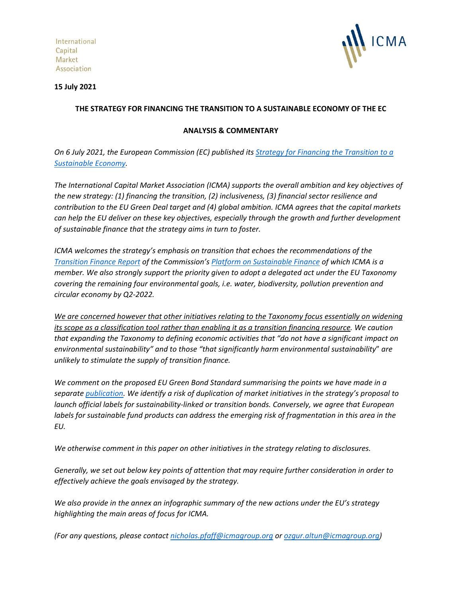International Capital **Market** Association



### **15 July 2021**

## **THE STRATEGY FOR FINANCING THE TRANSITION TO A SUSTAINABLE ECONOMY OF THE EC**

## **ANALYSIS & COMMENTARY**

*On 6 July 2021, the European Commission (EC) published its [Strategy for Financing the Transition to a](https://ec.europa.eu/finance/docs/law/210704-communication-sustainable-finance-strategy_en.pdf)  [Sustainable Economy.](https://ec.europa.eu/finance/docs/law/210704-communication-sustainable-finance-strategy_en.pdf)*

*The International Capital Market Association (ICMA) supports the overall ambition and key objectives of the new strategy: (1) financing the transition, (2) inclusiveness, (3) financial sector resilience and contribution to the EU Green Deal target and (4) global ambition. ICMA agrees that the capital markets can help the EU deliver on these key objectives, especially through the growth and further development of sustainable finance that the strategy aims in turn to foster.* 

*ICMA welcomes the strategy's emphasis on transition that echoes the recommendations of the [Transition Finance Report](https://ec.europa.eu/info/sites/default/files/business_economy_euro/banking_and_finance/documents/210319-eu-platform-transition-finance-report_en.pdf) of the Commission's [Platform on Sustainable Finance](https://ec.europa.eu/info/business-economy-euro/banking-and-finance/sustainable-finance/overview-sustainable-finance/platform-sustainable-finance_en) of which ICMA is a member. We also strongly support the priority given to adopt a delegated act under the EU Taxonomy covering the remaining four environmental goals, i.e. water, biodiversity, pollution prevention and circular economy by Q2-2022.*

*We are concerned however that other initiatives relating to the Taxonomy focus essentially on widening its scope as a classification tool rather than enabling it as a transition financing resource. We caution that expanding the Taxonomy to defining economic activities that "do not have a significant impact on environmental sustainability" and to those "that significantly harm environmental sustainability*" *are unlikely to stimulate the supply of transition finance.*

*We comment on the proposed EU Green Bond Standard summarising the points we have made in a separat[e publication.](https://www.icmagroup.org/assets/documents/Sustainable-finance/Responses/ICMA-analysis-of-the-EuGB-Regulation-080721v2.pdf) We identify a risk of duplication of market initiatives in the strategy's proposal to launch official labels for sustainability-linked or transition bonds. Conversely, we agree that European labels for sustainable fund products can address the emerging risk of fragmentation in this area in the EU.*

*We otherwise comment in this paper on other initiatives in the strategy relating to disclosures.*

*Generally, we set out below key points of attention that may require further consideration in order to effectively achieve the goals envisaged by the strategy.*

*We also provide in the annex an infographic summary of the new actions under the EU's strategy highlighting the main areas of focus for ICMA.*

*(For any questions, please contact [nicholas.pfaff@icmagroup.org](mailto:nicholas.pfaff@icmagroup.org) o[r ozgur.altun@icmagroup.org\)](mailto:ozgur.altun@icmagroup.org)*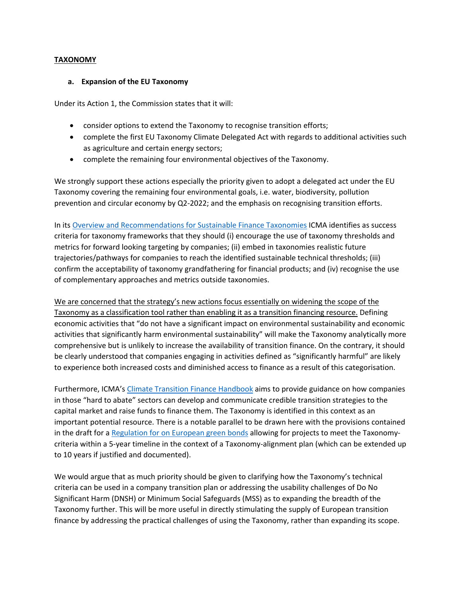### **TAXONOMY**

#### **a. Expansion of the EU Taxonomy**

Under its Action 1, the Commission states that it will:

- consider options to extend the Taxonomy to recognise transition efforts;
- complete the first EU Taxonomy Climate Delegated Act with regards to additional activities such as agriculture and certain energy sectors;
- complete the remaining four environmental objectives of the Taxonomy.

We strongly support these actions especially the priority given to adopt a delegated act under the EU Taxonomy covering the remaining four environmental goals, i.e. water, biodiversity, pollution prevention and circular economy by Q2-2022; and the emphasis on recognising transition efforts.

In its [Overview and Recommendations for Sustainable Finance Taxonomies](https://www.icmagroup.org/assets/documents/Sustainable-finance/ICMA-Overview-and-Recommendations-for-Sustainable-Finance-Taxonomies-May-2021-180521.pdf) ICMA identifies as success criteria for taxonomy frameworks that they should (i) encourage the use of taxonomy thresholds and metrics for forward looking targeting by companies; (ii) embed in taxonomies realistic future trajectories/pathways for companies to reach the identified sustainable technical thresholds; (iii) confirm the acceptability of taxonomy grandfathering for financial products; and (iv) recognise the use of complementary approaches and metrics outside taxonomies.

We are concerned that the strategy's new actions focus essentially on widening the scope of the Taxonomy as a classification tool rather than enabling it as a transition financing resource. Defining economic activities that "do not have a significant impact on environmental sustainability and economic activities that significantly harm environmental sustainability" will make the Taxonomy analytically more comprehensive but is unlikely to increase the availability of transition finance. On the contrary, it should be clearly understood that companies engaging in activities defined as "significantly harmful" are likely to experience both increased costs and diminished access to finance as a result of this categorisation.

Furthermore, ICMA's [Climate Transition Finance Handbook](https://www.icmagroup.org/sustainable-finance/the-principles-guidelines-and-handbooks/climate-transition-finance-handbook/) aims to provide guidance on how companies in those "hard to abate" sectors can develop and communicate credible transition strategies to the capital market and raise funds to finance them. The Taxonomy is identified in this context as an important potential resource. There is a notable parallel to be drawn here with the provisions contained in the draft for a [Regulation for on European green bonds](https://ec.europa.eu/finance/docs/law/210704-proposal-green-bonds-standard_en.pdf) allowing for projects to meet the Taxonomycriteria within a 5-year timeline in the context of a Taxonomy-alignment plan (which can be extended up to 10 years if justified and documented).

We would argue that as much priority should be given to clarifying how the Taxonomy's technical criteria can be used in a company transition plan or addressing the usability challenges of Do No Significant Harm (DNSH) or Minimum Social Safeguards (MSS) as to expanding the breadth of the Taxonomy further. This will be more useful in directly stimulating the supply of European transition finance by addressing the practical challenges of using the Taxonomy, rather than expanding its scope.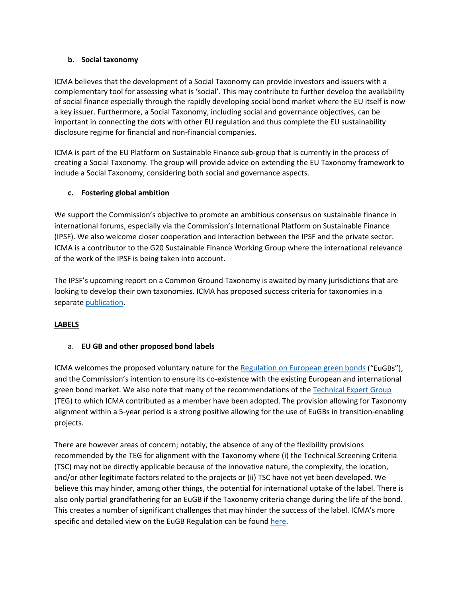### **b. Social taxonomy**

ICMA believes that the development of a Social Taxonomy can provide investors and issuers with a complementary tool for assessing what is 'social'. This may contribute to further develop the availability of social finance especially through the rapidly developing social bond market where the EU itself is now a key issuer. Furthermore, a Social Taxonomy, including social and governance objectives, can be important in connecting the dots with other EU regulation and thus complete the EU sustainability disclosure regime for financial and non-financial companies.

ICMA is part of the EU Platform on Sustainable Finance sub-group that is currently in the process of creating a Social Taxonomy. The group will provide advice on extending the EU Taxonomy framework to include a Social Taxonomy, considering both social and governance aspects.

### **c. Fostering global ambition**

We support the Commission's objective to promote an ambitious consensus on sustainable finance in international forums, especially via the Commission's International Platform on Sustainable Finance (IPSF). We also welcome closer cooperation and interaction between the IPSF and the private sector. ICMA is a contributor to the G20 Sustainable Finance Working Group where the international relevance of the work of the IPSF is being taken into account.

The IPSF's upcoming report on a Common Ground Taxonomy is awaited by many jurisdictions that are looking to develop their own taxonomies. ICMA has proposed success criteria for taxonomies in a separat[e publication.](https://www.icmagroup.org/assets/documents/Sustainable-finance/ICMA-Overview-and-Recommendations-for-Sustainable-Finance-Taxonomies-May-2021-180521.pdf)

## **LABELS**

### a. **EU GB and other proposed bond labels**

ICMA welcomes the proposed voluntary nature for the [Regulation on European green bonds](https://ec.europa.eu/finance/docs/law/210704-proposal-green-bonds-standard_en.pdf) ("EuGBs"), and the Commission's intention to ensure its co-existence with the existing European and international green bond market. We also note that many of the recommendations of the [Technical Expert Group](https://ec.europa.eu/info/publications/sustainable-finance-technical-expert-group_en) (TEG) to which ICMA contributed as a member have been adopted. The provision allowing for Taxonomy alignment within a 5-year period is a strong positive allowing for the use of EuGBs in transition-enabling projects.

There are however areas of concern; notably, the absence of any of the flexibility provisions recommended by the TEG for alignment with the Taxonomy where (i) the Technical Screening Criteria (TSC) may not be directly applicable because of the innovative nature, the complexity, the location, and/or other legitimate factors related to the projects or (ii) TSC have not yet been developed. We believe this may hinder, among other things, the potential for international uptake of the label. There is also only partial grandfathering for an EuGB if the Taxonomy criteria change during the life of the bond. This creates a number of significant challenges that may hinder the success of the label. ICMA's more specific and detailed view on the EuGB Regulation can be found [here.](https://www.icmagroup.org/assets/documents/Sustainable-finance/Responses/ICMA-analysis-of-the-EuGB-Regulation-080721v2.pdf)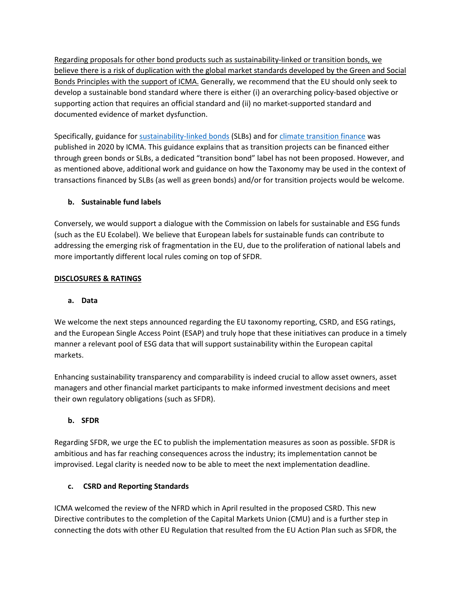Regarding proposals for other bond products such as sustainability-linked or transition bonds, we believe there is a risk of duplication with the global market standards developed by the Green and Social Bonds Principles with the support of ICMA. Generally, we recommend that the EU should only seek to develop a sustainable bond standard where there is either (i) an overarching policy-based objective or supporting action that requires an official standard and (ii) no market-supported standard and documented evidence of market dysfunction.

Specifically, guidance for [sustainability-linked bonds](https://www.icmagroup.org/assets/documents/Regulatory/Green-Bonds/June-2020/Sustainability-Linked-Bond-Principles-June-2020-171120.pdf) (SLBs) and fo[r climate transition](https://www.icmagroup.org/assets/documents/Regulatory/Green-Bonds/Climate-Transition-Finance-Handbook-December-2020-091220.pdf) finance was published in 2020 by ICMA. This guidance explains that as transition projects can be financed either through green bonds or SLBs, a dedicated "transition bond" label has not been proposed. However, and as mentioned above, additional work and guidance on how the Taxonomy may be used in the context of transactions financed by SLBs (as well as green bonds) and/or for transition projects would be welcome.

# **b. Sustainable fund labels**

Conversely, we would support a dialogue with the Commission on labels for sustainable and ESG funds (such as the EU Ecolabel). We believe that European labels for sustainable funds can contribute to addressing the emerging risk of fragmentation in the EU, due to the proliferation of national labels and more importantly different local rules coming on top of SFDR.

## **DISCLOSURES & RATINGS**

## **a. Data**

We welcome the next steps announced regarding the EU taxonomy reporting, CSRD, and ESG ratings, and the European Single Access Point (ESAP) and truly hope that these initiatives can produce in a timely manner a relevant pool of ESG data that will support sustainability within the European capital markets.

Enhancing sustainability transparency and comparability is indeed crucial to allow asset owners, asset managers and other financial market participants to make informed investment decisions and meet their own regulatory obligations (such as SFDR).

## **b. SFDR**

Regarding SFDR, we urge the EC to publish the implementation measures as soon as possible. SFDR is ambitious and has far reaching consequences across the industry; its implementation cannot be improvised. Legal clarity is needed now to be able to meet the next implementation deadline.

## **c. CSRD and Reporting Standards**

ICMA welcomed the review of the NFRD which in April resulted in the proposed CSRD. This new Directive contributes to the completion of the Capital Markets Union (CMU) and is a further step in connecting the dots with other EU Regulation that resulted from the EU Action Plan such as SFDR, the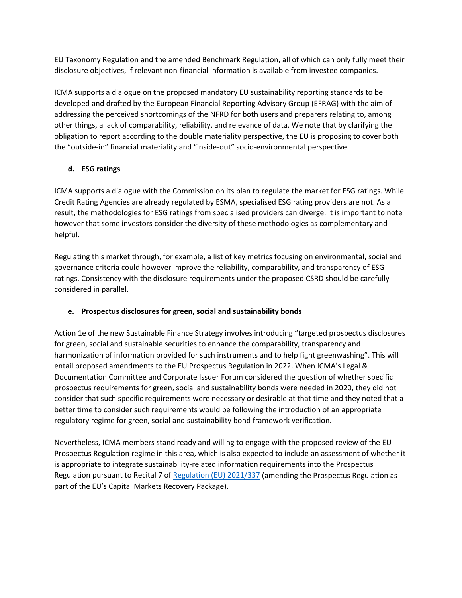EU Taxonomy Regulation and the amended Benchmark Regulation, all of which can only fully meet their disclosure objectives, if relevant non-financial information is available from investee companies.

ICMA supports a dialogue on the proposed mandatory EU sustainability reporting standards to be developed and drafted by the European Financial Reporting Advisory Group (EFRAG) with the aim of addressing the perceived shortcomings of the NFRD for both users and preparers relating to, among other things, a lack of comparability, reliability, and relevance of data. We note that by clarifying the obligation to report according to the double materiality perspective, the EU is proposing to cover both the "outside-in" financial materiality and "inside-out" socio-environmental perspective.

# **d. ESG ratings**

ICMA supports a dialogue with the Commission on its plan to regulate the market for ESG ratings. While Credit Rating Agencies are already regulated by ESMA, specialised ESG rating providers are not. As a result, the methodologies for ESG ratings from specialised providers can diverge. It is important to note however that some investors consider the diversity of these methodologies as complementary and helpful.

Regulating this market through, for example, a list of key metrics focusing on environmental, social and governance criteria could however improve the reliability, comparability, and transparency of ESG ratings. Consistency with the disclosure requirements under the proposed CSRD should be carefully considered in parallel.

## **e. Prospectus disclosures for green, social and sustainability bonds**

Action 1e of the new Sustainable Finance Strategy involves introducing "targeted prospectus disclosures for green, social and sustainable securities to enhance the comparability, transparency and harmonization of information provided for such instruments and to help fight greenwashing". This will entail proposed amendments to the EU Prospectus Regulation in 2022. When ICMA's Legal & Documentation Committee and Corporate Issuer Forum considered the question of whether specific prospectus requirements for green, social and sustainability bonds were needed in 2020, they did not consider that such specific requirements were necessary or desirable at that time and they noted that a better time to consider such requirements would be following the introduction of an appropriate regulatory regime for green, social and sustainability bond framework verification.

Nevertheless, ICMA members stand ready and willing to engage with the proposed review of the EU Prospectus Regulation regime in this area, which is also expected to include an assessment of whether it is appropriate to integrate sustainability-related information requirements into the Prospectus Regulation pursuant to Recital 7 of [Regulation \(EU\) 2021/337](https://eur-lex.europa.eu/legal-content/EN/TXT/PDF/?uri=CELEX:32021R0337&from=EN) (amending the Prospectus Regulation as part of the EU's Capital Markets Recovery Package).